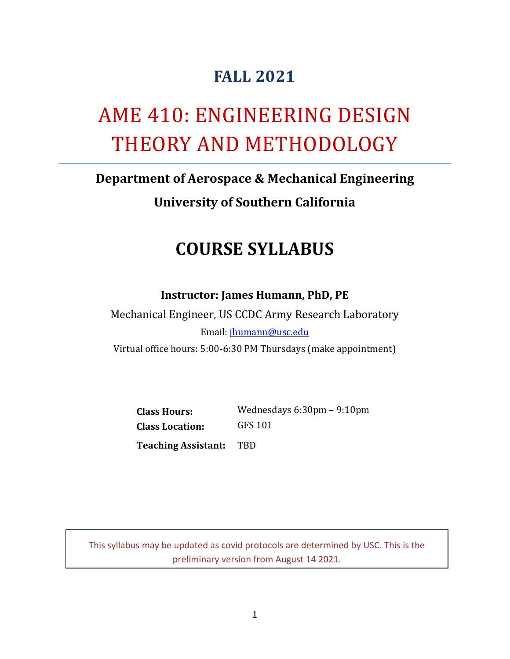# **FALL 2021**

# AME 410: ENGINEERING DESIGN THEORY AND METHODOLOGY

# **Department of Aerospace & Mechanical Engineering**

**University of Southern California**

# **COURSE SYLLABUS**

#### **Instructor: James Humann, PhD, PE**

Mechanical Engineer, US CCDC Army Research Laboratory Email: [jhumann@usc.edu](mailto:jhumann@usc.edu) Virtual office hours: 5:00-6:30 PM Thursdays (make appointment)

**Class Hours:** Wednesdays 6:30pm – 9:10pm

**Class Location:** GFS 101

**Teaching Assistant:** TBD

This syllabus may be updated as covid protocols are determined by USC. This is the preliminary version from August 14 2021.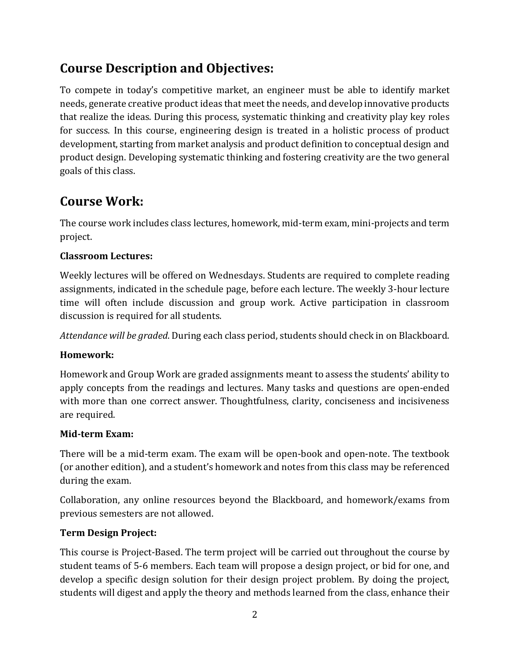# **Course Description and Objectives:**

To compete in today's competitive market, an engineer must be able to identify market needs, generate creative product ideas that meet the needs, and develop innovative products that realize the ideas. During this process, systematic thinking and creativity play key roles for success. In this course, engineering design is treated in a holistic process of product development, starting from market analysis and product definition to conceptual design and product design. Developing systematic thinking and fostering creativity are the two general goals of this class.

### **Course Work:**

The course work includes class lectures, homework, mid-term exam, mini-projects and term project.

#### **Classroom Lectures:**

Weekly lectures will be offered on Wednesdays. Students are required to complete reading assignments, indicated in the schedule page, before each lecture. The weekly 3-hour lecture time will often include discussion and group work. Active participation in classroom discussion is required for all students.

*Attendance will be graded*. During each class period, students should check in on Blackboard.

#### **Homework:**

Homework and Group Work are graded assignments meant to assess the students' ability to apply concepts from the readings and lectures. Many tasks and questions are open-ended with more than one correct answer. Thoughtfulness, clarity, conciseness and incisiveness are required.

#### **Mid-term Exam:**

There will be a mid-term exam. The exam will be open-book and open-note. The textbook (or another edition), and a student's homework and notes from this class may be referenced during the exam.

Collaboration, any online resources beyond the Blackboard, and homework/exams from previous semesters are not allowed.

#### **Term Design Project:**

This course is Project-Based. The term project will be carried out throughout the course by student teams of 5-6 members. Each team will propose a design project, or bid for one, and develop a specific design solution for their design project problem. By doing the project, students will digest and apply the theory and methods learned from the class, enhance their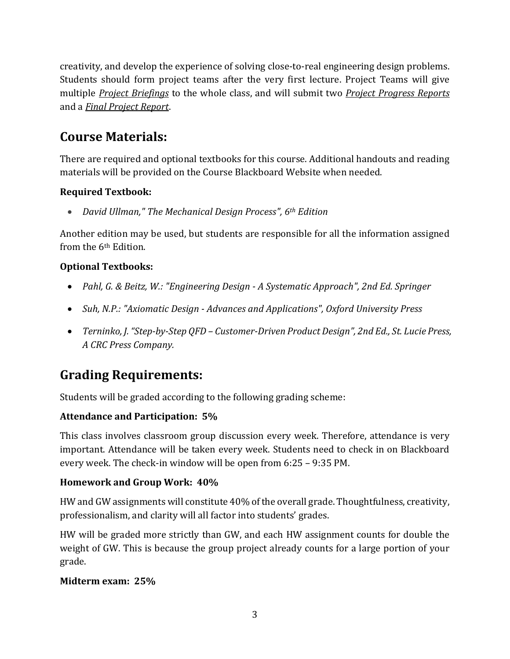creativity, and develop the experience of solving close-to-real engineering design problems. Students should form project teams after the very first lecture. Project Teams will give multiple *Project Briefings* to the whole class, and will submit two *Project Progress Reports* and a *Final Project Report*.

# **Course Materials:**

There are required and optional textbooks for this course. Additional handouts and reading materials will be provided on the Course Blackboard Website when needed.

#### **Required Textbook:**

• *David Ullman," The Mechanical Design Process", 6th Edition*

Another edition may be used, but students are responsible for all the information assigned from the 6<sup>th</sup> Edition.

#### **Optional Textbooks:**

- *Pahl, G. & Beitz, W.: "Engineering Design - A Systematic Approach", 2nd Ed. Springer*
- *Suh, N.P.: "Axiomatic Design - Advances and Applications", Oxford University Press*
- *Terninko, J. "Step-by-Step QFD – Customer-Driven Product Design", 2nd Ed., St. Lucie Press, A CRC Press Company.*

# **Grading Requirements:**

Students will be graded according to the following grading scheme:

#### **Attendance and Participation: 5%**

This class involves classroom group discussion every week. Therefore, attendance is very important. Attendance will be taken every week. Students need to check in on Blackboard every week. The check-in window will be open from 6:25 – 9:35 PM.

#### **Homework and Group Work: 40%**

HW and GW assignments will constitute 40% of the overall grade. Thoughtfulness, creativity, professionalism, and clarity will all factor into students' grades.

HW will be graded more strictly than GW, and each HW assignment counts for double the weight of GW. This is because the group project already counts for a large portion of your grade.

#### **Midterm exam: 25%**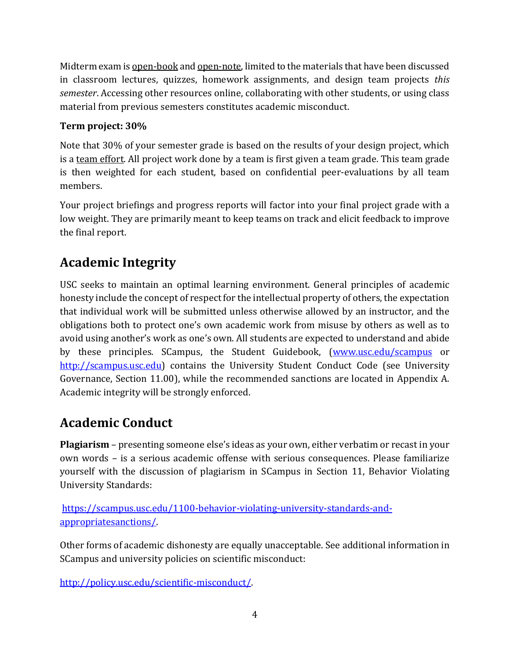Midterm exam is open-book and open-note, limited to the materials that have been discussed in classroom lectures, quizzes, homework assignments, and design team projects *this semester*. Accessing other resources online, collaborating with other students, or using class material from previous semesters constitutes academic misconduct.

#### **Term project: 30%**

Note that 30% of your semester grade is based on the results of your design project, which is a team effort. All project work done by a team is first given a team grade. This team grade is then weighted for each student, based on confidential peer-evaluations by all team members.

Your project briefings and progress reports will factor into your final project grade with a low weight. They are primarily meant to keep teams on track and elicit feedback to improve the final report.

# **Academic Integrity**

USC seeks to maintain an optimal learning environment. General principles of academic honesty include the concept of respect for the intellectual property of others, the expectation that individual work will be submitted unless otherwise allowed by an instructor, and the obligations both to protect one's own academic work from misuse by others as well as to avoid using another's work as one's own. All students are expected to understand and abide by these principles. SCampus, the Student Guidebook, [\(www.usc.edu/scampus](http://www.usc.edu/scampus) or [http://scampus.usc.edu\)](http://scampus.usc.edu/) contains the University Student Conduct Code (see University Governance, Section 11.00), while the recommended sanctions are located in Appendix A. Academic integrity will be strongly enforced.

# **Academic Conduct**

**Plagiarism** – presenting someone else's ideas as your own, either verbatim or recast in your own words – is a serious academic offense with serious consequences. Please familiarize yourself with the discussion of plagiarism in SCampus in Section 11, Behavior Violating University Standards:

[https://scampus.usc.edu/1100-behavior-violating-university-standards-and](https://scampus.usc.edu/1100-behavior-violating-university-standards-and-appropriatesanctions/)[appropriatesanctions/.](https://scampus.usc.edu/1100-behavior-violating-university-standards-and-appropriatesanctions/)

Other forms of academic dishonesty are equally unacceptable. See additional information in SCampus and university policies on scientific misconduct:

[http://policy.usc.edu/scientific-misconduct/.](http://policy.usc.edu/scientific-misconduct/)